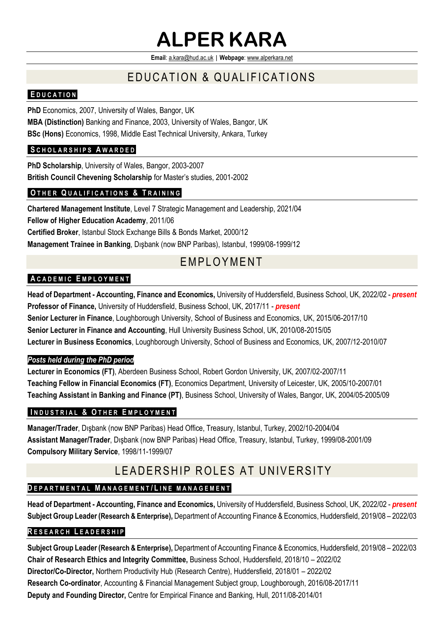# **ALPER KARA**

**Email**[: a.kara@hud.ac.uk](mailto:a.kara@hud.ac.uk) | **Webpage**[: www.alperkara.net](http://www.alperkara.net/)

# E DUCATION & QUALIFICATIONS

# **E D U C A T I O N**

**PhD** Economics, 2007, University of Wales, Bangor, UK **MBA (Distinction)** Banking and Finance, 2003, University of Wales, Bangor, UK **BSc (Hons)** Economics, 1998, Middle East Technical University, Ankara, Turkey

# **S C H O L A R S H I P S A W A R D E D**

**PhD Scholarship**, University of Wales, Bangor, 2003-2007 **British Council Chevening Scholarship** for Master's studies, 2001-2002

# **O T H E R Q U A L I F I C A T I O N S & T R A I N I N G**

**Chartered Management Institute**, Level 7 Strategic Management and Leadership, 2021/04 **Fellow of Higher Education Academy**, 2011/06 **Certified Broker**, Istanbul Stock Exchange Bills & Bonds Market, 2000/12 **Management Trainee in Banking**, Dışbank (now BNP Paribas), Istanbul, 1999/08-1999/12

# **EMPLOYMENT**

# **A C A D E M I C E M P L O Y M E N T**

**Head of Department - Accounting, Finance and Economics,** University of Huddersfield, Business School, UK, 2022/02 - *present* **Professor of Finance,** University of Huddersfield, Business School, UK, 2017/11 - *present* **Senior Lecturer in Finance**, Loughborough University, School of Business and Economics, UK, 2015/06-2017/10 **Senior Lecturer in Finance and Accounting**, Hull University Business School, UK, 2010/08-2015/05 **Lecturer in Business Economics**, Loughborough University, School of Business and Economics, UK, 2007/12-2010/07

#### *Posts held during the PhD period*

**Lecturer in Economics (FT)**, Aberdeen Business School, Robert Gordon University, UK, 2007/02-2007/11 **Teaching Fellow in Financial Economics (FT)**, Economics Department, University of Leicester, UK, 2005/10-2007/01 **Teaching Assistant in Banking and Finance (PT)**, Business School, University of Wales, Bangor, UK, 2004/05-2005/09

#### **I N D U S T R I A L & O T H E R E M P L O Y M E N T**

**Manager/Trader**, Dışbank (now BNP Paribas) Head Office, Treasury, Istanbul, Turkey, 2002/10-2004/04 **Assistant Manager/Trader**, Dışbank (now BNP Paribas) Head Office, Treasury, Istanbul, Turkey, 1999/08-2001/09 **Compulsory Military Service**, 1998/11-1999/07

# L E A D E R SHIP ROI E SA TUNIVERSITY

# **D E P A R T M E N T A L M A N A G E M E N T / L I N E M A N A G E M E N T**

**Head of Department - Accounting, Finance and Economics,** University of Huddersfield, Business School, UK, 2022/02 - *present* **Subject Group Leader (Research & Enterprise),** Department of Accounting Finance & Economics, Huddersfield, 2019/08 – 2022/03

#### **R E S E A R C H L E A D E R S H I P**

**Subject Group Leader (Research & Enterprise),** Department of Accounting Finance & Economics, Huddersfield, 2019/08 – 2022/03 **Chair of Research Ethics and Integrity Committee,** Business School, Huddersfield, 2018/10 – 2022/02 **Director/Co-Director,** Northern Productivity Hub (Research Centre), Huddersfield, 2018/01 – 2022/02 **Research Co-ordinator**, Accounting & Financial Management Subject group, Loughborough, 2016/08-2017/11 **Deputy and Founding Director,** Centre for Empirical Finance and Banking, Hull, 2011/08-2014/01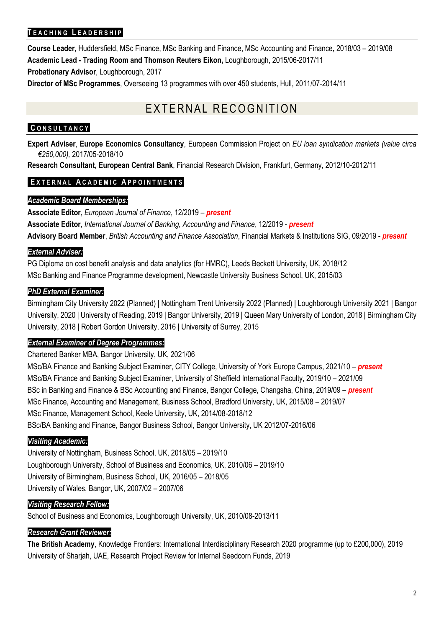## **T E A C H I N G L E A D E R S H I P**

**Course Leader,** Huddersfield, MSc Finance, MSc Banking and Finance, MSc Accounting and Finance**,** 2018/03 – 2019/08 **Academic Lead - Trading Room and Thomson Reuters Eikon,** Loughborough, 2015/06-2017/11 **Probationary Advisor**, Loughborough, 2017

**Director of MSc Programmes**, Overseeing 13 programmes with over 450 students, Hull, 2011/07-2014/11

# EXTERNAL RECOGNITION

#### **C O N S U L T A N C Y**

**Expert Adviser**, **Europe Economics Consultancy**, European Commission Project on *EU loan syndication markets (value circa €250,000),* 2017/05-2018/10

**Research Consultant, European Central Bank**, Financial Research Division, Frankfurt, Germany, 2012/10-2012/11

#### **E X T E R N A L A C A D E M I C A P P O I N T M E N T S**

#### *Academic Board Memberships:*

**Associate Editor**, *European Journal of Finance*, 12/2019 – *present* **Associate Editor**, *International Journal of Banking, Accounting and Finance*, 12/2019 - *present* **Advisory Board Member**, *British Accounting and Finance Association*, Financial Markets & Institutions SIG, 09/2019 - *present*

#### *External Adviser:*

PG Diploma on cost benefit analysis and data analytics (for HMRC)**,** Leeds Beckett University, UK, 2018/12 MSc Banking and Finance Programme development, Newcastle University Business School, UK, 2015/03

#### *PhD External Examiner:*

Birmingham City University 2022 (Planned) | Nottingham Trent University 2022 (Planned) | Loughborough University 2021 | Bangor University, 2020 | University of Reading, 2019 | Bangor University, 2019 | Queen Mary University of London, 2018 | Birmingham City University, 2018 | Robert Gordon University, 2016 | University of Surrey, 2015

#### *External Examiner of Degree Programmes:*

Chartered Banker MBA, Bangor University, UK, 2021/06

MSc/BA Finance and Banking Subject Examiner, CITY College, University of York Europe Campus, 2021/10 – *present* MSc/BA Finance and Banking Subject Examiner, University of Sheffield International Faculty, 2019/10 – 2021/09 BSc in Banking and Finance & BSc Accounting and Finance, Bangor College, Changsha, China, 2019/09 – *present* MSc Finance, Accounting and Management, Business School, Bradford University, UK, 2015/08 – 2019/07 MSc Finance, Management School, Keele University, UK, 2014/08-2018/12 BSc/BA Banking and Finance, Bangor Business School, Bangor University, UK 2012/07-2016/06

#### *Visiting Academic:*

University of Nottingham, Business School, UK, 2018/05 – 2019/10 Loughborough University, School of Business and Economics, UK, 2010/06 – 2019/10 University of Birmingham, Business School, UK, 2016/05 – 2018/05 University of Wales, Bangor, UK, 2007/02 – 2007/06

#### *Visiting Research Fellow:*

School of Business and Economics, Loughborough University, UK, 2010/08-2013/11

#### *Research Grant Reviewer:*

**The British Academy**, Knowledge Frontiers: International Interdisciplinary Research 2020 programme (up to £200,000), 2019 University of Sharjah, UAE, Research Project Review for Internal Seedcorn Funds, 2019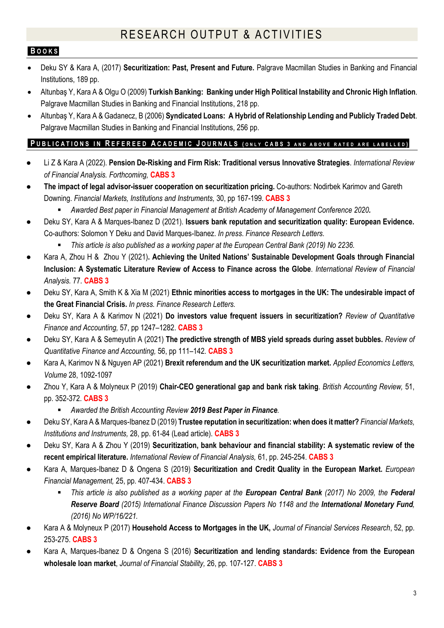# **B O O K S**

- Deku SY & Kara A, (2017) **Securitization: Past, Present and Future.** Palgrave Macmillan Studies in Banking and Financial Institutions, 189 pp.
- Altunbaş Y, Kara A & Olgu O (2009) **Turkish Banking: Banking under High Political Instability and Chronic High Inflation**. Palgrave Macmillan Studies in Banking and Financial Institutions, 218 pp.
- Altunbaş Y, Kara A & Gadanecz, B (2006) **Syndicated Loans: A Hybrid of Relationship Lending and Publicly Traded Debt**. Palgrave Macmillan Studies in Banking and Financial Institutions, 256 pp.

#### PUBLICATIONS IN REFEREED ACADEMIC JOURNALS (ONLY CABS 3 AND ABOVE RATED ARE LABELLED)

- Li Z & Kara A (2022). **Pension De-Risking and Firm Risk: Traditional versus Innovative Strategies**. *International Review of Financial Analysis. Forthcoming,* **CABS 3**
- **The impact of legal advisor-issuer cooperation on securitization pricing.** Co-authors: Nodirbek Karimov and Gareth Downing. *Financial Markets, Institutions and Instruments,* 30, pp 167-199. **CABS 3**
	- *Awarded Best paper in Financial Management at British Academy of Management Conference 2020.*
- Deku SY, Kara A & Marques-Ibanez D (2021). **Issuers bank reputation and securitization quality: European Evidence.** Co-authors: Solomon Y Deku and David Marques-Ibanez. *In press*. *Finance Research Letters.*
	- *This article is also published as a working paper at the European Central Bank (2019) No 2236.*
- Kara A, Zhou H & Zhou Y (2021)**. Achieving the United Nations' Sustainable Development Goals through Financial Inclusion: A Systematic Literature Review of Access to Finance across the Globe**. *International Review of Financial Analysis.* 77*.* **CABS 3**
- Deku SY, Kara A, Smith K & Xia M (2021) Ethnic minorities access to mortgages in the UK: The undesirable impact of **the Great Financial Crisis.** *In press. Finance Research Letters.*
- Deku SY, Kara A & Karimov N (2021) **Do investors value frequent issuers in securitization?** *Review of Quantitative Finance and Accounting, 57, pp 1247–1282. CABS 3*
- Deku SY, Kara A & Semeyutin A (2021) **The predictive strength of MBS yield spreads during asset bubbles.** *Review of Quantitative Finance and Accounting,* 56, pp 111–142*.* **CABS 3**
- Kara A, Karimov N & Nguyen AP (2021) **Brexit referendum and the UK securitization market.** Applied Economics Letters, *Volume* 28, 1092-1097
- Zhou Y, Kara A & Molyneux P (2019) **Chair-CEO generational gap and bank risk taking**. *British Accounting Review,* 51, pp. 352-372. **CABS 3**
	- *Awarded the British Accounting Review 2019 Best Paper in Finance.*
- Deku SY, Kara A & Marques-Ibanez D (2019) **Trustee reputation in securitization: when does it matter?** *Financial Markets, Institutions and Instruments,* 28, pp. 61-84 (Lead article). **CABS 3**
- Deku SY, Kara A & Zhou Y (2019) **Securitization, bank behaviour and financial stability: A systematic review of the recent empirical literature.** *International Review of Financial Analysis,* 61, pp. 245-254. **CABS 3**
- Kara A, Marques-Ibanez D & Ongena S (2019) **Securitization and Credit Quality in the European Market.** *European Financial Management,* 25, pp. 407-434. **CABS 3**
	- **E** This article is also published as a working paper at the **European Central Bank** (2017) No 2009, the Federal *Reserve Board (2015) International Finance Discussion Papers No 1148 and the International Monetary Fund, (2016) No WP/16/221.*
- Kara A & Molyneux P (2017) **Household Access to Mortgages in the UK,** *Journal of Financial Services Research*, 52, pp. 253-275. **CABS 3**
- Kara A, Marques-Ibanez D & Ongena S (2016) **Securitization and lending standards: Evidence from the European wholesale loan market**, *Journal of Financial Stability,* 26, pp. 107-127. **CABS 3**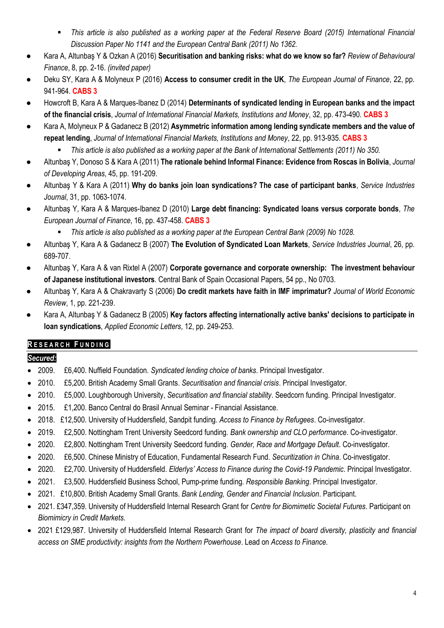- *This article is also published as a working paper at the Federal Reserve Board (2015) International Financial Discussion Paper No 1141 and the European Central Bank (2011) No 1362.*
- Kara A, Altunbaş Y & Ozkan A (2016) **Securitisation and banking risks: what do we know so far?** *Review of Behavioural Finance*, 8, pp. 2-16. *(invited paper)*
- Deku SY, Kara A & Molyneux P (2016) **Access to consumer credit in the UK**, *The European Journal of Finance*, 22, pp. 941-964. **CABS 3**
- Howcroft B, Kara A & Marques-Ibanez D (2014) **Determinants of syndicated lending in European banks and the impact of the financial crisis**, *Journal of International Financial Markets, Institutions and Money*, 32, pp. 473-490. **CABS 3**
- Kara A, Molyneux P & Gadanecz B (2012) **Asymmetric information among lending syndicate members and the value of repeat lending**, *Journal of International Financial Markets, Institutions and Money*, 22, pp. 913-935. **CABS 3**
	- *This article is also published as a working paper at the Bank of International Settlements (2011) No 350.*
- Altunbaş Y, Donoso S & Kara A (2011) **The rationale behind Informal Finance: Evidence from Roscas in Bolivia**, *Journal of Developing Areas*, 45, pp. 191-209.
- Altunbaş Y & Kara A (2011) **Why do banks join loan syndications? The case of participant banks**, *Service Industries Journal*, 31, pp. 1063-1074.
- Altunbaş Y, Kara A & Marques-Ibanez D (2010) **Large debt financing: Syndicated loans versus corporate bonds**, *The European Journal of Finance*, 16, pp. 437-458. **CABS 3**
	- *This article is also published as a working paper at the European Central Bank (2009) No 1028.*
- Altunbaş Y, Kara A & Gadanecz B (2007) **The Evolution of Syndicated Loan Markets**, *Service Industries Journal*, 26, pp. 689-707.
- Altunbaş Y, Kara A & van Rixtel A (2007) **Corporate governance and corporate ownership: The investment behaviour of Japanese institutional investors**. Central Bank of Spain Occasional Papers, 54 pp., No 0703.
- Altunbaş Y, Kara A & Chakravarty S (2006) **Do credit markets have faith in IMF imprimatur?** *Journal of World Economic Review*, 1, pp. 221-239.
- Kara A, Altunbaş Y & Gadanecz B (2005) **Key factors affecting internationally active banks' decisions to participate in loan syndications**, *Applied Economic Letters*, 12, pp. 249-253.

# **R E S E A R C H F U N D I N G**

# *Secured:*

- 2009. £6,400. Nuffield Foundation. *Syndicated lending choice of banks*. Principal Investigator.
- 2010. £5,200. British Academy Small Grants. *Securitisation and financial crisis*. Principal Investigator.
- 2010. £5,000. Loughborough University, *Securitisation and financial stability*. Seedcorn funding. Principal Investigator.
- 2015. £1,200. Banco Central do Brasil Annual Seminar Financial Assistance.
- 2018. £12,500. University of Huddersfield, Sandpit funding. *Access to Finance by Refugees*. Co-investigator.
- 2019. £2,500. Nottingham Trent University Seedcord funding. *Bank ownership and CLO performance*. Co-investigator.
- 2020. £2,800. Nottingham Trent University Seedcord funding. *Gender, Race and Mortgage Default*. Co-investigator.
- 2020. £6,500. Chinese Ministry of Education, Fundamental Research Fund. *Securitization in China*. Co-investigator.
- 2020. £2,700. University of Huddersfield. *Elderlys' Access to Finance during the Covid-19 Pandemic*. Principal Investigator.
- 2021. £3,500. Huddersfield Business School, Pump-prime funding. *Responsible Banking*. Principal Investigator.
- 2021. £10,800. British Academy Small Grants. *Bank Lending, Gender and Financial Inclusion*. Participant.
- 2021. £347,359. University of Huddersfield Internal Research Grant for *Centre for Biomimetic Societal Futures*. Participant on *Biomimicry in Credit Markets.*
- 2021 £129,987. University of Huddersfield Internal Research Grant for *The impact of board diversity, plasticity and financial access on SME productivity: insights from the Northern Powerhouse*. Lead on *Access to Finance.*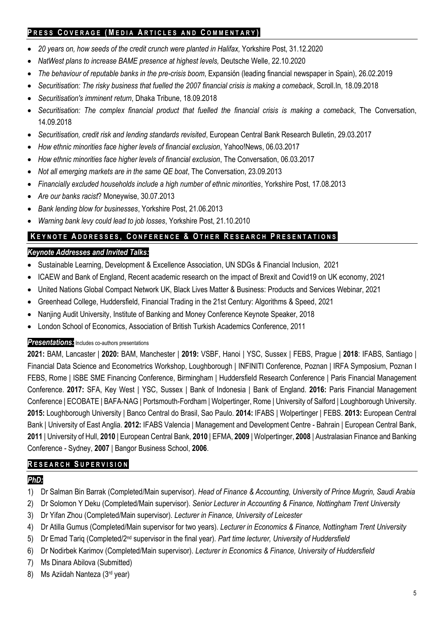# **P R E S S C O V E R A G E ( M E D I A A R T I C L E S A N D C O M M E N T A R Y )**

- *20 years on, how seeds of the credit crunch were planted in Halifax,* Yorkshire Post, 31.12.2020
- *NatWest plans to increase BAME presence at highest levels,* Deutsche Welle, 22.10.2020
- *The behaviour of reputable banks in the pre-crisis boom*, Expansión (leading financial newspaper in Spain), 26.02.2019
- *Securitisation: The risky business that fuelled the 2007 financial crisis is making a comeback*, Scroll.In, 18.09.2018
- *Securitisation's imminent return*, Dhaka Tribune, 18.09.2018
- *Securitisation: The complex financial product that fuelled the financial crisis is making a comeback*, The Conversation, 14.09.2018
- *Securitisation, credit risk and lending standards revisited*, European Central Bank Research Bulletin, 29.03.2017
- *How ethnic minorities face higher levels of financial exclusion*, Yahoo!News, 06.03.2017
- *How ethnic minorities face higher levels of financial exclusion*, The Conversation, 06.03.2017
- *Not all emerging markets are in the same QE boat*, The Conversation, 23.09.2013
- *Financially excluded households include a high number of ethnic minorities*, Yorkshire Post, 17.08.2013
- *Are our banks racist*? Moneywise, 30.07.2013
- *Bank lending blow for businesses*, Yorkshire Post, 21.06.2013
- *Warning bank levy could lead to job losses*, Yorkshire Post, 21.10.2010

# **K E Y N O T E A D D R E S S E S , C O N F E R E N C E & O T H E R R E S E A R C H P R E S E N T A T I O N S**

# *Keynote Addresses and Invited Talks:*

- Sustainable Learning, Development & Excellence Association, UN SDGs & Financial Inclusion, 2021
- ICAEW and Bank of England, Recent academic research on the impact of Brexit and Covid19 on UK economy, 2021
- United Nations Global Compact Network UK, Black Lives Matter & Business: Products and Services Webinar, 2021
- Greenhead College, Huddersfield, Financial Trading in the 21st Century: Algorithms & Speed, 2021
- Nanjing Audit University, Institute of Banking and Money Conference Keynote Speaker, 2018
- London School of Economics, Association of British Turkish Academics Conference, 2011

#### *Presentations:* Includes co-authors presentations

**2021:** BAM, Lancaster | **2020:** BAM, Manchester | **2019:** VSBF, Hanoi | YSC, Sussex | FEBS, Prague | **2018**: IFABS, Santiago | Financial Data Science and Econometrics Workshop, Loughborough | INFINITI Conference, Poznan | IRFA Symposium, Poznan I FEBS, Rome | ISBE SME Financing Conference, Birmingham | Huddersfield Research Conference | Paris Financial Management Conference. **2017:** SFA, Key West | YSC, Sussex | Bank of Indonesia | Bank of England. **2016:** Paris Financial Management Conference | ECOBATE | BAFA-NAG | Portsmouth-Fordham | Wolpertinger, Rome | University of Salford | Loughborough University. **2015:** Loughborough University | Banco Central do Brasil, Sao Paulo. **2014:** IFABS | Wolpertinger | FEBS. **2013:** European Central Bank | University of East Anglia. **2012:** IFABS Valencia | Management and Development Centre - Bahrain | European Central Bank, **2011** | University of Hull, **2010** | European Central Bank, **2010** | EFMA, **2009** | Wolpertinger, **2008** | Australasian Finance and Banking Conference - Sydney, **2007** | Bangor Business School, **2006**.

# **R E S E A R C H S U P E R V I S I O N**

# *PhD:*

- 1) Dr Salman Bin Barrak (Completed/Main supervisor). *Head of Finance & Accounting, University of Prince Mugrin, Saudi Arabia*
- 2) Dr Solomon Y Deku (Completed/Main supervisor). *Senior Lecturer in Accounting & Finance, Nottingham Trent University*
- 3) Dr Yifan Zhou (Completed/Main supervisor). *Lecturer in Finance, University of Leicester*
- 4) Dr Atilla Gumus (Completed/Main supervisor for two years). *Lecturer in Economics & Finance, Nottingham Trent University*
- 5) Dr Emad Tariq (Completed/2nd supervisor in the final year). *Part time lecturer, University of Huddersfield*
- 6) Dr Nodirbek Karimov (Completed/Main supervisor). *Lecturer in Economics & Finance, University of Huddersfield*
- 7) Ms Dinara Abilova (Submitted)
- 8) Ms Aziidah Nanteza (3rd year)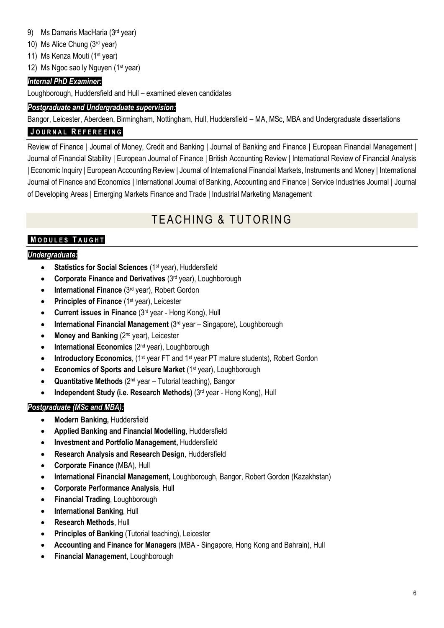- 9) Ms Damaris MacHaria (3rd year)
- 10) Ms Alice Chung (3rd year)
- 11) Ms Kenza Mouti (1<sup>st</sup> year)
- 12) Ms Ngoc sao ly Nguyen (1<sup>st</sup> year)

# *Internal PhD Examiner:*

Loughborough, Huddersfield and Hull – examined eleven candidates

## *Postgraduate and Undergraduate supervision:*

Bangor, Leicester, Aberdeen, Birmingham, Nottingham, Hull, Huddersfield – MA, MSc, MBA and Undergraduate dissertations

# **J O U R N A L R E F E R E E I N G**

Review of Finance | Journal of Money, Credit and Banking | Journal of Banking and Finance | European Financial Management | Journal of Financial Stability | European Journal of Finance | British Accounting Review | International Review of Financial Analysis | Economic Inquiry | European Accounting Review | Journal of International Financial Markets, Instruments and Money | International Journal of Finance and Economics | International Journal of Banking, Accounting and Finance | Service Industries Journal | Journal of Developing Areas | Emerging Markets Finance and Trade | Industrial Marketing Management

# **TEACHING & TUTORING**

# **M O D U L E S T A U G H T**

#### *Undergraduate:*

- **Statistics for Social Sciences** (1st year), Huddersfield
- **Corporate Finance and Derivatives** (3rd year), Loughborough
- **International Finance** (3rd year), Robert Gordon
- **Principles of Finance** (1<sup>st</sup> year), Leicester
- **Current issues in Finance** (3rd year Hong Kong), Hull
- **International Financial Management** (3rd year Singapore), Loughborough
- Money and Banking (2<sup>nd</sup> year), Leicester
- **International Economics** (2nd year), Loughborough
- **Introductory Economics**, (1<sup>st</sup> year FT and 1<sup>st</sup> year PT mature students), Robert Gordon
- **Economics of Sports and Leisure Market** (1st year), Loughborough
- **Quantitative Methods** (2nd year Tutorial teaching), Bangor
- **Independent Study (i.e. Research Methods)** (3rd year Hong Kong), Hull

# *Postgraduate (MSc and MBA):*

- **Modern Banking,** Huddersfield
- **Applied Banking and Financial Modelling**, Huddersfield
- **Investment and Portfolio Management,** Huddersfield
- **Research Analysis and Research Design**, Huddersfield
- **Corporate Finance** (MBA), Hull
- **International Financial Management,** Loughborough, Bangor, Robert Gordon (Kazakhstan)
- **Corporate Performance Analysis**, Hull
- **Financial Trading**, Loughborough
- **International Banking**, Hull
- **Research Methods**, Hull
- **Principles of Banking** (Tutorial teaching), Leicester
- **Accounting and Finance for Managers** (MBA Singapore, Hong Kong and Bahrain), Hull
- **Financial Management**, Loughborough